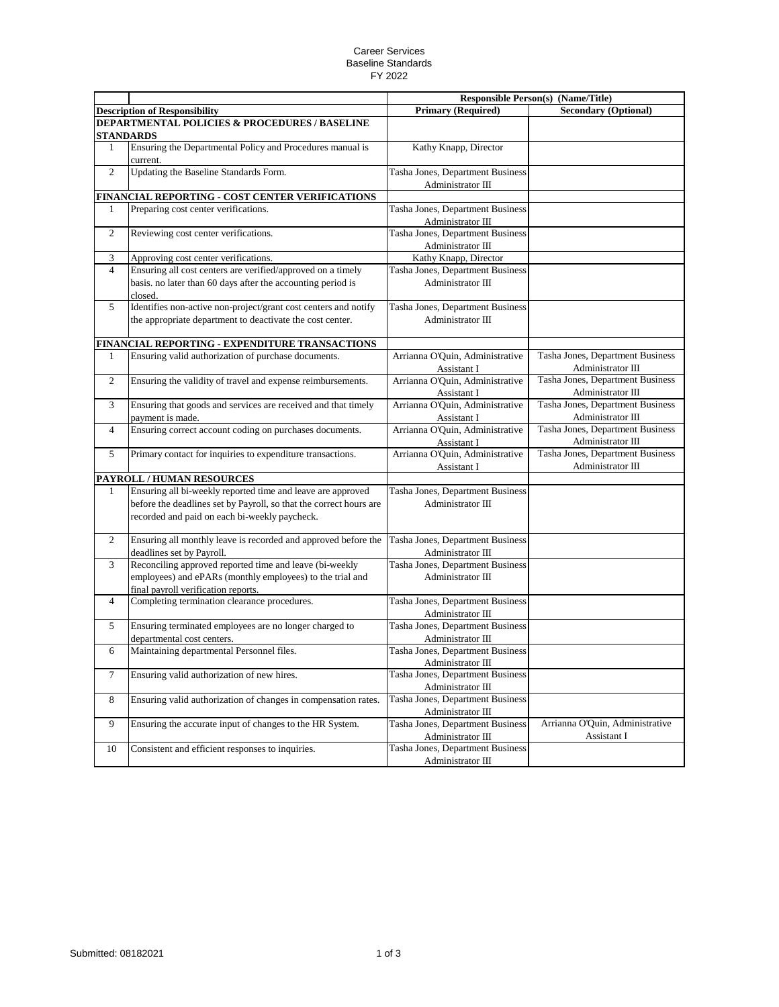## Career Services Baseline Standards FY 2022

|                                               |                                                                                                                                                                                    | <b>Responsible Person(s) (Name/Title)</b>             |                                                       |  |  |  |
|-----------------------------------------------|------------------------------------------------------------------------------------------------------------------------------------------------------------------------------------|-------------------------------------------------------|-------------------------------------------------------|--|--|--|
|                                               | <b>Description of Responsibility</b>                                                                                                                                               | <b>Primary (Required)</b>                             | <b>Secondary (Optional)</b>                           |  |  |  |
| DEPARTMENTAL POLICIES & PROCEDURES / BASELINE |                                                                                                                                                                                    |                                                       |                                                       |  |  |  |
|                                               | <b>STANDARDS</b>                                                                                                                                                                   |                                                       |                                                       |  |  |  |
| $\mathbf{1}$                                  | Ensuring the Departmental Policy and Procedures manual is<br>current.                                                                                                              | Kathy Knapp, Director                                 |                                                       |  |  |  |
| $\overline{c}$                                | Updating the Baseline Standards Form.                                                                                                                                              | Tasha Jones, Department Business                      |                                                       |  |  |  |
|                                               | FINANCIAL REPORTING - COST CENTER VERIFICATIONS                                                                                                                                    | Administrator III                                     |                                                       |  |  |  |
| 1                                             | Preparing cost center verifications.                                                                                                                                               | Tasha Jones, Department Business                      |                                                       |  |  |  |
|                                               |                                                                                                                                                                                    | Administrator III                                     |                                                       |  |  |  |
| $\overline{c}$                                | Reviewing cost center verifications.                                                                                                                                               | Tasha Jones, Department Business<br>Administrator III |                                                       |  |  |  |
| 3                                             | Approving cost center verifications.                                                                                                                                               | Kathy Knapp, Director                                 |                                                       |  |  |  |
| $\overline{4}$                                | Ensuring all cost centers are verified/approved on a timely                                                                                                                        | Tasha Jones, Department Business                      |                                                       |  |  |  |
|                                               | basis. no later than 60 days after the accounting period is<br>closed.                                                                                                             | Administrator III                                     |                                                       |  |  |  |
| 5                                             | Identifies non-active non-project/grant cost centers and notify                                                                                                                    | Tasha Jones, Department Business                      |                                                       |  |  |  |
|                                               | the appropriate department to deactivate the cost center.                                                                                                                          | Administrator III                                     |                                                       |  |  |  |
|                                               | FINANCIAL REPORTING - EXPENDITURE TRANSACTIONS                                                                                                                                     |                                                       |                                                       |  |  |  |
| 1                                             | Ensuring valid authorization of purchase documents.                                                                                                                                | Arrianna O'Quin, Administrative<br>Assistant I        | Tasha Jones, Department Business<br>Administrator III |  |  |  |
| $\overline{2}$                                | Ensuring the validity of travel and expense reimbursements.                                                                                                                        | Arrianna O'Quin, Administrative<br>Assistant I        | Tasha Jones, Department Business<br>Administrator III |  |  |  |
| 3                                             | Ensuring that goods and services are received and that timely                                                                                                                      | Arrianna O'Quin, Administrative                       | Tasha Jones, Department Business                      |  |  |  |
|                                               | payment is made.                                                                                                                                                                   | Assistant I                                           | Administrator III                                     |  |  |  |
| $\overline{4}$                                | Ensuring correct account coding on purchases documents.                                                                                                                            | Arrianna O'Quin, Administrative                       | Tasha Jones, Department Business                      |  |  |  |
|                                               |                                                                                                                                                                                    | Assistant I                                           | Administrator III                                     |  |  |  |
| 5                                             | Primary contact for inquiries to expenditure transactions.                                                                                                                         | Arrianna O'Quin, Administrative                       | Tasha Jones, Department Business                      |  |  |  |
|                                               |                                                                                                                                                                                    | Assistant I                                           | Administrator III                                     |  |  |  |
|                                               | PAYROLL / HUMAN RESOURCES                                                                                                                                                          |                                                       |                                                       |  |  |  |
| 1                                             | Ensuring all bi-weekly reported time and leave are approved<br>before the deadlines set by Payroll, so that the correct hours are<br>recorded and paid on each bi-weekly paycheck. | Tasha Jones, Department Business<br>Administrator III |                                                       |  |  |  |
| 2                                             | Ensuring all monthly leave is recorded and approved before the<br>deadlines set by Payroll.                                                                                        | Tasha Jones, Department Business<br>Administrator III |                                                       |  |  |  |
| 3                                             | Reconciling approved reported time and leave (bi-weekly<br>employees) and ePARs (monthly employees) to the trial and<br>final payroll verification reports.                        | Tasha Jones, Department Business<br>Administrator III |                                                       |  |  |  |
| $\overline{4}$                                | Completing termination clearance procedures.                                                                                                                                       | Tasha Jones, Department Business<br>Administrator III |                                                       |  |  |  |
| 5                                             | Ensuring terminated employees are no longer charged to<br>departmental cost centers.                                                                                               | Tasha Jones, Department Business<br>Administrator III |                                                       |  |  |  |
| 6                                             | Maintaining departmental Personnel files.                                                                                                                                          | Tasha Jones, Department Business<br>Administrator III |                                                       |  |  |  |
| 7                                             | Ensuring valid authorization of new hires.                                                                                                                                         | Tasha Jones, Department Business<br>Administrator III |                                                       |  |  |  |
| 8                                             | Ensuring valid authorization of changes in compensation rates.                                                                                                                     | Tasha Jones, Department Business<br>Administrator III |                                                       |  |  |  |
| 9                                             | Ensuring the accurate input of changes to the HR System.                                                                                                                           | Tasha Jones, Department Business<br>Administrator III | Arrianna O'Quin, Administrative<br>Assistant I        |  |  |  |
| $10\,$                                        | Consistent and efficient responses to inquiries.                                                                                                                                   | Tasha Jones, Department Business<br>Administrator III |                                                       |  |  |  |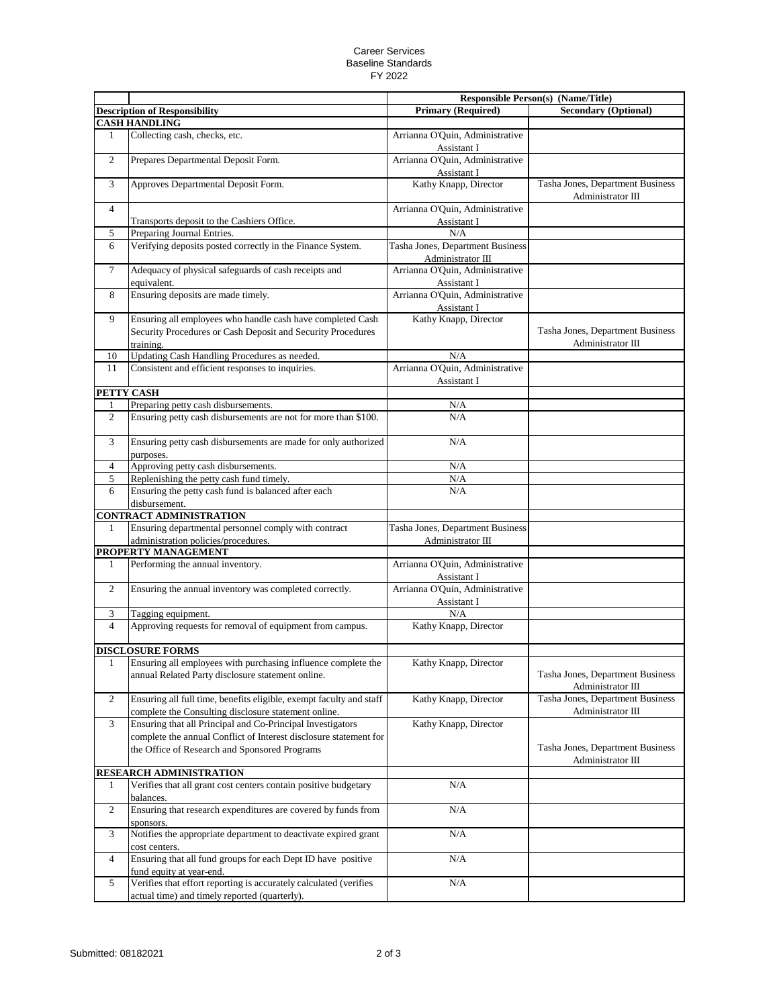## Career Services Baseline Standards FY 2022

|                |                                                                                                                                        |                                                       | <b>Responsible Person(s) (Name/Title)</b>             |
|----------------|----------------------------------------------------------------------------------------------------------------------------------------|-------------------------------------------------------|-------------------------------------------------------|
|                | <b>Description of Responsibility</b>                                                                                                   | <b>Primary (Required)</b>                             | <b>Secondary (Optional)</b>                           |
|                | <b>CASH HANDLING</b>                                                                                                                   |                                                       |                                                       |
| 1              | Collecting cash, checks, etc.                                                                                                          | Arrianna O'Quin, Administrative<br>Assistant I        |                                                       |
| $\overline{c}$ | Prepares Departmental Deposit Form.                                                                                                    | Arrianna O'Quin, Administrative<br>Assistant I        |                                                       |
| 3              | Approves Departmental Deposit Form.                                                                                                    | Kathy Knapp, Director                                 | Tasha Jones, Department Business<br>Administrator III |
| $\overline{4}$ |                                                                                                                                        | Arrianna O'Quin, Administrative                       |                                                       |
|                | Transports deposit to the Cashiers Office.                                                                                             | Assistant I                                           |                                                       |
| 5              | Preparing Journal Entries.                                                                                                             | N/A                                                   |                                                       |
| 6              | Verifying deposits posted correctly in the Finance System.                                                                             | Tasha Jones, Department Business<br>Administrator III |                                                       |
| 7              | Adequacy of physical safeguards of cash receipts and<br>equivalent.                                                                    | Arrianna O'Quin, Administrative<br>Assistant I        |                                                       |
| 8              | Ensuring deposits are made timely.                                                                                                     | Arrianna O'Quin, Administrative<br>Assistant I        |                                                       |
| 9              | Ensuring all employees who handle cash have completed Cash<br>Security Procedures or Cash Deposit and Security Procedures<br>training. | Kathy Knapp, Director                                 | Tasha Jones, Department Business<br>Administrator III |
| 10             | Updating Cash Handling Procedures as needed.                                                                                           | N/A                                                   |                                                       |
| 11             | Consistent and efficient responses to inquiries.                                                                                       | Arrianna O'Quin, Administrative<br>Assistant I        |                                                       |
|                | PETTY CASH                                                                                                                             |                                                       |                                                       |
| 1              | Preparing petty cash disbursements.                                                                                                    | N/A                                                   |                                                       |
| $\overline{2}$ | Ensuring petty cash disbursements are not for more than \$100.                                                                         | N/A                                                   |                                                       |
| 3              | Ensuring petty cash disbursements are made for only authorized<br>purposes.                                                            | N/A                                                   |                                                       |
| $\overline{4}$ | Approving petty cash disbursements.                                                                                                    | N/A                                                   |                                                       |
| 5              | Replenishing the petty cash fund timely.                                                                                               | N/A                                                   |                                                       |
| 6              | Ensuring the petty cash fund is balanced after each<br>disbursement.                                                                   | N/A                                                   |                                                       |
|                | <b>CONTRACT ADMINISTRATION</b>                                                                                                         |                                                       |                                                       |
| 1              | Ensuring departmental personnel comply with contract<br>administration policies/procedures.                                            | Tasha Jones, Department Business<br>Administrator III |                                                       |
|                | PROPERTY MANAGEMENT                                                                                                                    |                                                       |                                                       |
| 1              | Performing the annual inventory.                                                                                                       | Arrianna O'Quin, Administrative<br>Assistant I        |                                                       |
| $\overline{c}$ | Ensuring the annual inventory was completed correctly.                                                                                 | Arrianna O'Quin, Administrative<br>Assistant I        |                                                       |
| 3              | Tagging equipment.                                                                                                                     | N/A                                                   |                                                       |
| $\overline{4}$ | Approving requests for removal of equipment from campus.                                                                               | Kathy Knapp, Director                                 |                                                       |
|                | <b>DISCLOSURE FORMS</b>                                                                                                                |                                                       |                                                       |
|                | Ensuring all employees with purchasing influence complete the<br>annual Related Party disclosure statement online.                     | Kathy Knapp, Director                                 | Tasha Jones, Department Business<br>Administrator III |
| 2              | Ensuring all full time, benefits eligible, exempt faculty and staff<br>complete the Consulting disclosure statement online.            | Kathy Knapp, Director                                 | Tasha Jones, Department Business<br>Administrator III |
| 3              | Ensuring that all Principal and Co-Principal Investigators<br>complete the annual Conflict of Interest disclosure statement for        | Kathy Knapp, Director                                 |                                                       |
|                | the Office of Research and Sponsored Programs                                                                                          |                                                       | Tasha Jones, Department Business<br>Administrator III |
|                | RESEARCH ADMINISTRATION                                                                                                                |                                                       |                                                       |
| 1              | Verifies that all grant cost centers contain positive budgetary<br>balances.                                                           | N/A                                                   |                                                       |
| $\overline{c}$ | Ensuring that research expenditures are covered by funds from<br>sponsors.                                                             | N/A                                                   |                                                       |
| 3              | Notifies the appropriate department to deactivate expired grant<br>cost centers.                                                       | $\rm N/A$                                             |                                                       |
| $\overline{4}$ | Ensuring that all fund groups for each Dept ID have positive<br>fund equity at year-end.                                               | $\rm N/A$                                             |                                                       |
| 5              | Verifies that effort reporting is accurately calculated (verifies<br>actual time) and timely reported (quarterly).                     | $\rm N/A$                                             |                                                       |